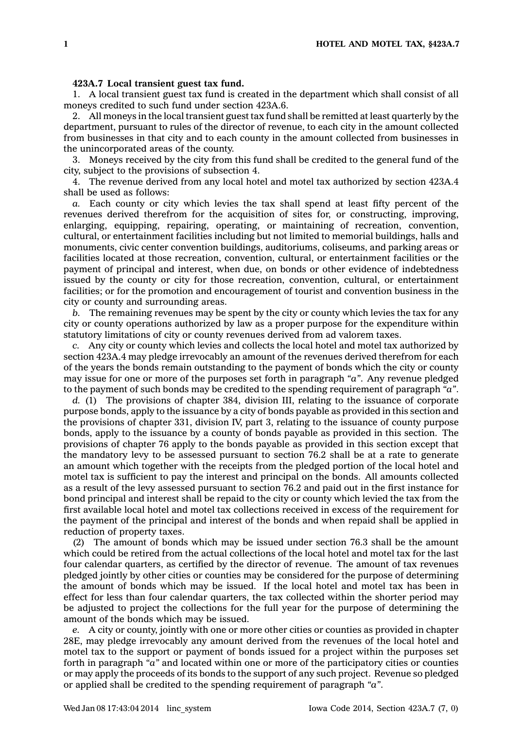## **423A.7 Local transient guest tax fund.**

1. A local transient guest tax fund is created in the department which shall consist of all moneys credited to such fund under section 423A.6.

2. All moneys in the local transient guest tax fund shall be remitted at least quarterly by the department, pursuant to rules of the director of revenue, to each city in the amount collected from businesses in that city and to each county in the amount collected from businesses in the unincorporated areas of the county.

3. Moneys received by the city from this fund shall be credited to the general fund of the city, subject to the provisions of subsection 4.

4. The revenue derived from any local hotel and motel tax authorized by section 423A.4 shall be used as follows:

*a.* Each county or city which levies the tax shall spend at least fifty percent of the revenues derived therefrom for the acquisition of sites for, or constructing, improving, enlarging, equipping, repairing, operating, or maintaining of recreation, convention, cultural, or entertainment facilities including but not limited to memorial buildings, halls and monuments, civic center convention buildings, auditoriums, coliseums, and parking areas or facilities located at those recreation, convention, cultural, or entertainment facilities or the payment of principal and interest, when due, on bonds or other evidence of indebtedness issued by the county or city for those recreation, convention, cultural, or entertainment facilities; or for the promotion and encouragement of tourist and convention business in the city or county and surrounding areas.

*b.* The remaining revenues may be spent by the city or county which levies the tax for any city or county operations authorized by law as <sup>a</sup> proper purpose for the expenditure within statutory limitations of city or county revenues derived from ad valorem taxes.

*c.* Any city or county which levies and collects the local hotel and motel tax authorized by section 423A.4 may pledge irrevocably an amount of the revenues derived therefrom for each of the years the bonds remain outstanding to the payment of bonds which the city or county may issue for one or more of the purposes set forth in paragraph *"a"*. Any revenue pledged to the payment of such bonds may be credited to the spending requirement of paragraph *"a"*.

*d.* (1) The provisions of chapter 384, division III, relating to the issuance of corporate purpose bonds, apply to the issuance by <sup>a</sup> city of bonds payable as provided in this section and the provisions of chapter 331, division IV, part 3, relating to the issuance of county purpose bonds, apply to the issuance by <sup>a</sup> county of bonds payable as provided in this section. The provisions of chapter 76 apply to the bonds payable as provided in this section except that the mandatory levy to be assessed pursuant to section 76.2 shall be at <sup>a</sup> rate to generate an amount which together with the receipts from the pledged portion of the local hotel and motel tax is sufficient to pay the interest and principal on the bonds. All amounts collected as <sup>a</sup> result of the levy assessed pursuant to section 76.2 and paid out in the first instance for bond principal and interest shall be repaid to the city or county which levied the tax from the first available local hotel and motel tax collections received in excess of the requirement for the payment of the principal and interest of the bonds and when repaid shall be applied in reduction of property taxes.

(2) The amount of bonds which may be issued under section 76.3 shall be the amount which could be retired from the actual collections of the local hotel and motel tax for the last four calendar quarters, as certified by the director of revenue. The amount of tax revenues pledged jointly by other cities or counties may be considered for the purpose of determining the amount of bonds which may be issued. If the local hotel and motel tax has been in effect for less than four calendar quarters, the tax collected within the shorter period may be adjusted to project the collections for the full year for the purpose of determining the amount of the bonds which may be issued.

*e.* A city or county, jointly with one or more other cities or counties as provided in chapter 28E, may pledge irrevocably any amount derived from the revenues of the local hotel and motel tax to the support or payment of bonds issued for <sup>a</sup> project within the purposes set forth in paragraph *"a"* and located within one or more of the participatory cities or counties or may apply the proceeds of its bonds to the support of any such project. Revenue so pledged or applied shall be credited to the spending requirement of paragraph *"a"*.